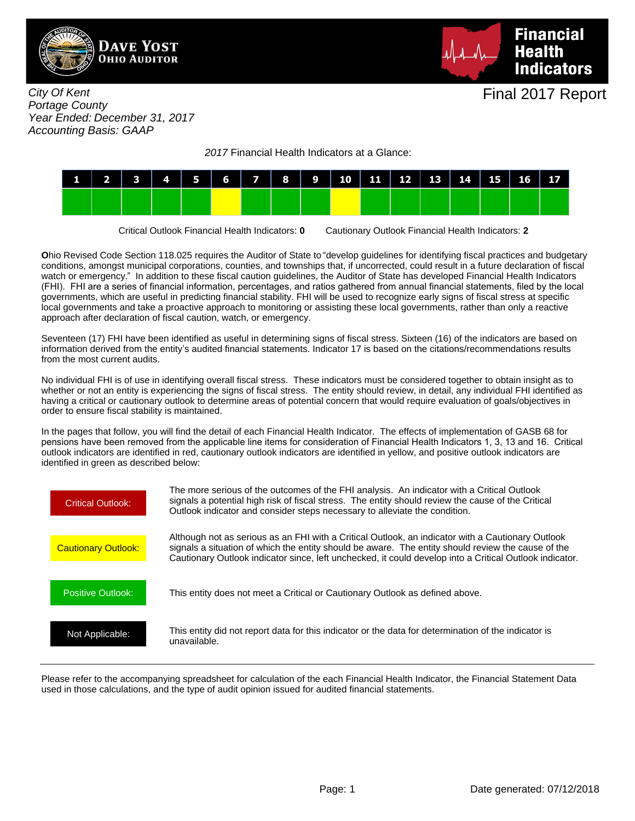



City Of Kent Portage County Year Ended: December 31, 2017 Accounting Basis: GAAP

2017 Financial Health Indicators at a Glance:



Critical Outlook Financial Health Indicators: **0** Cautionary Outlook Financial Health Indicators: **2**

**O**hio Revised Code Section 118.025 requires the Auditor of State to "develop guidelines for identifying fiscal practices and budgetary conditions, amongst municipal corporations, counties, and townships that, if uncorrected, could result in a future declaration of fiscal watch or emergency." In addition to these fiscal caution guidelines, the Auditor of State has developed Financial Health Indicators (FHI). FHI are a series of financial information, percentages, and ratios gathered from annual financial statements, filed by the local governments, which are useful in predicting financial stability. FHI will be used to recognize early signs of fiscal stress at specific local governments and take a proactive approach to monitoring or assisting these local governments, rather than only a reactive approach after declaration of fiscal caution, watch, or emergency.

Seventeen (17) FHI have been identified as useful in determining signs of fiscal stress. Sixteen (16) of the indicators are based on information derived from the entity's audited financial statements. Indicator 17 is based on the citations/recommendations results from the most current audits.

No individual FHI is of use in identifying overall fiscal stress. These indicators must be considered together to obtain insight as to whether or not an entity is experiencing the signs of fiscal stress. The entity should review, in detail, any individual FHI identified as having a critical or cautionary outlook to determine areas of potential concern that would require evaluation of goals/objectives in order to ensure fiscal stability is maintained.

In the pages that follow, you will find the detail of each Financial Health Indicator. The effects of implementation of GASB 68 for pensions have been removed from the applicable line items for consideration of Financial Health Indicators 1, 3, 13 and 16. Critical outlook indicators are identified in red, cautionary outlook indicators are identified in yellow, and positive outlook indicators are identified in green as described below:



Please refer to the accompanying spreadsheet for calculation of the each Financial Health Indicator, the Financial Statement Data used in those calculations, and the type of audit opinion issued for audited financial statements.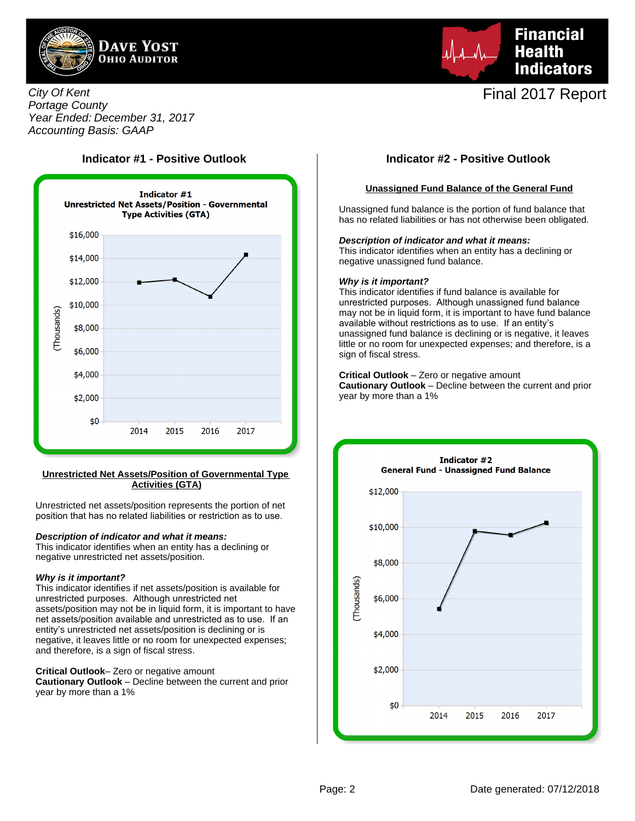



## City Of Kent Portage County Year Ended: December 31, 2017 Accounting Basis: GAAP



#### **Unrestricted Net Assets/Position of Governmental Type Activities (GTA)**

Unrestricted net assets/position represents the portion of net position that has no related liabilities or restriction as to use.

#### **Description of indicator and what it means:**

This indicator identifies when an entity has a declining or negative unrestricted net assets/position.

#### **Why is it important?**

This indicator identifies if net assets/position is available for unrestricted purposes. Although unrestricted net assets/position may not be in liquid form, it is important to have net assets/position available and unrestricted as to use. If an entity's unrestricted net assets/position is declining or is negative, it leaves little or no room for unexpected expenses; and therefore, is a sign of fiscal stress.

**Critical Outlook**– Zero or negative amount

**Cautionary Outlook** – Decline between the current and prior year by more than a 1%

## **Indicator #1 - Positive Outlook Indicator #2 - Positive Outlook**

### **Unassigned Fund Balance of the General Fund**

Unassigned fund balance is the portion of fund balance that has no related liabilities or has not otherwise been obligated.

#### **Description of indicator and what it means:**

This indicator identifies when an entity has a declining or negative unassigned fund balance.

#### **Why is it important?**

This indicator identifies if fund balance is available for unrestricted purposes. Although unassigned fund balance may not be in liquid form, it is important to have fund balance available without restrictions as to use. If an entity's unassigned fund balance is declining or is negative, it leaves little or no room for unexpected expenses; and therefore, is a sign of fiscal stress.

#### **Critical Outlook** – Zero or negative amount

**Cautionary Outlook** – Decline between the current and prior year by more than a 1%

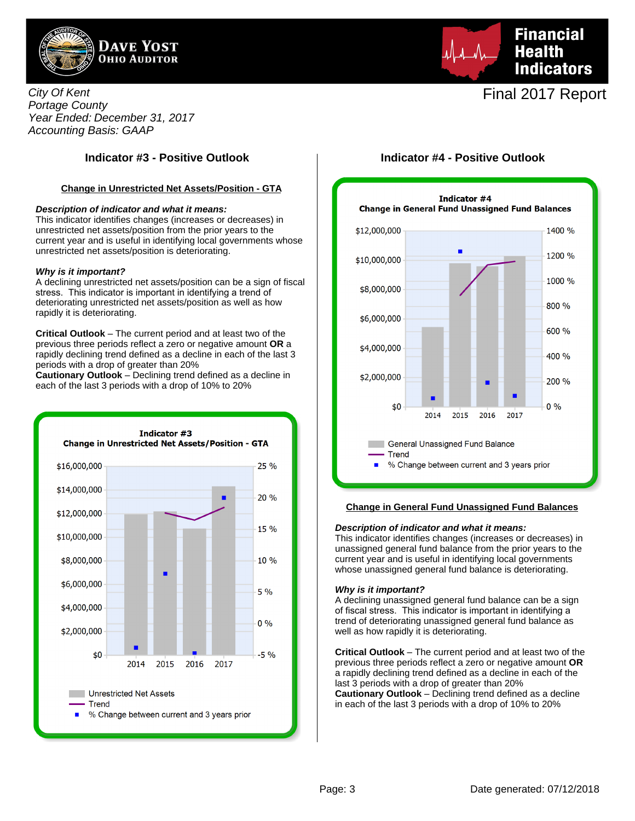

City Of Kent Portage County Year Ended: December 31, 2017 Accounting Basis: GAAP

### **Change in Unrestricted Net Assets/Position - GTA**

#### **Description of indicator and what it means:**

This indicator identifies changes (increases or decreases) in unrestricted net assets/position from the prior years to the current year and is useful in identifying local governments whose unrestricted net assets/position is deteriorating.

#### **Why is it important?**

A declining unrestricted net assets/position can be a sign of fiscal stress. This indicator is important in identifying a trend of deteriorating unrestricted net assets/position as well as how rapidly it is deteriorating.

**Critical Outlook** – The current period and at least two of the previous three periods reflect a zero or negative amount **OR** a rapidly declining trend defined as a decline in each of the last 3 periods with a drop of greater than 20%

**Cautionary Outlook** – Declining trend defined as a decline in each of the last 3 periods with a drop of 10% to 20%



**Financial Health Indicators** 

# Final 2017 Report

## **Indicator #3 - Positive Outlook Indicator #4 - Positive Outlook**



#### **Change in General Fund Unassigned Fund Balances**

#### **Description of indicator and what it means:**

This indicator identifies changes (increases or decreases) in unassigned general fund balance from the prior years to the current year and is useful in identifying local governments whose unassigned general fund balance is deteriorating.

#### **Why is it important?**

A declining unassigned general fund balance can be a sign of fiscal stress. This indicator is important in identifying a trend of deteriorating unassigned general fund balance as well as how rapidly it is deteriorating.

**Critical Outlook** – The current period and at least two of the previous three periods reflect a zero or negative amount **OR** a rapidly declining trend defined as a decline in each of the last 3 periods with a drop of greater than 20% **Cautionary Outlook** – Declining trend defined as a decline in each of the last 3 periods with a drop of 10% to 20%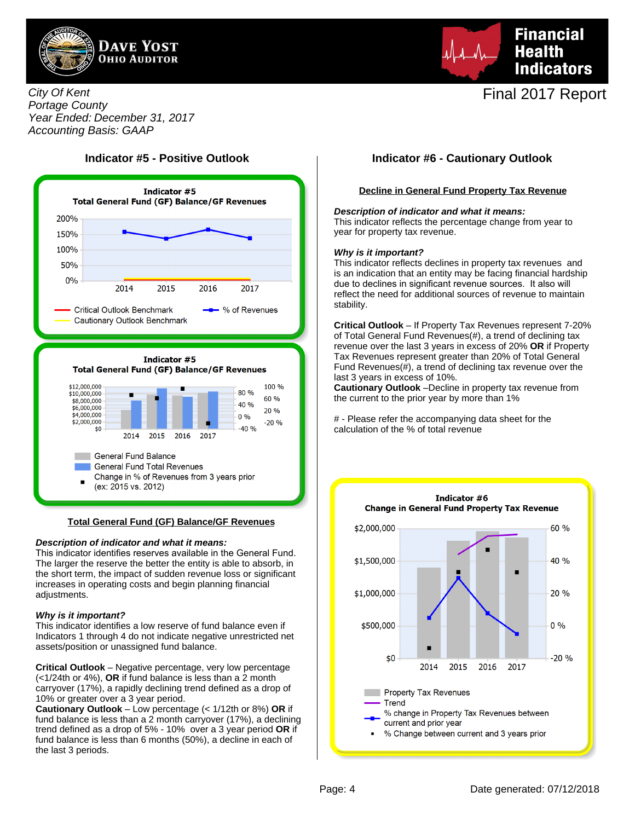



City Of Kent Portage County Year Ended: December 31, 2017 Accounting Basis: GAAP



#### **Total General Fund (GF) Balance/GF Revenues**

#### **Description of indicator and what it means:**

This indicator identifies reserves available in the General Fund. The larger the reserve the better the entity is able to absorb, in the short term, the impact of sudden revenue loss or significant increases in operating costs and begin planning financial adjustments.

#### **Why is it important?**

This indicator identifies a low reserve of fund balance even if Indicators 1 through 4 do not indicate negative unrestricted net assets/position or unassigned fund balance.

**Critical Outlook** – Negative percentage, very low percentage (<1/24th or 4%), **OR** if fund balance is less than a 2 month carryover (17%), a rapidly declining trend defined as a drop of 10% or greater over a 3 year period.

**Cautionary Outlook** – Low percentage (< 1/12th or 8%) **OR** if fund balance is less than a 2 month carryover (17%), a declining trend defined as a drop of 5% - 10% over a 3 year period **OR** if fund balance is less than 6 months (50%), a decline in each of the last 3 periods.

## **Indicator #5 - Positive Outlook Indicator #6 - Cautionary Outlook**

### **Decline in General Fund Property Tax Revenue**

#### **Description of indicator and what it means:**

This indicator reflects the percentage change from year to year for property tax revenue.

#### **Why is it important?**

This indicator reflects declines in property tax revenues and is an indication that an entity may be facing financial hardship due to declines in significant revenue sources. It also will reflect the need for additional sources of revenue to maintain stability.

**Critical Outlook** – If Property Tax Revenues represent 7-20% of Total General Fund Revenues(#), a trend of declining tax revenue over the last 3 years in excess of 20% **OR** if Property Tax Revenues represent greater than 20% of Total General Fund Revenues(#), a trend of declining tax revenue over the last 3 years in excess of 10%.

**Cautionary Outlook** –Decline in property tax revenue from the current to the prior year by more than 1%

# - Please refer the accompanying data sheet for the calculation of the % of total revenue

![](_page_3_Figure_23.jpeg)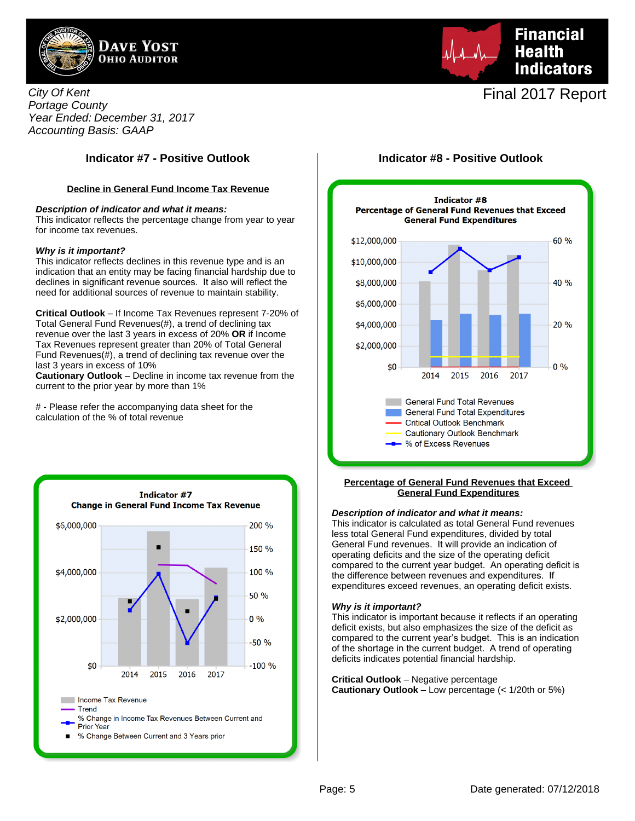![](_page_4_Picture_0.jpeg)

![](_page_4_Picture_1.jpeg)

City Of Kent Portage County Year Ended: December 31, 2017 Accounting Basis: GAAP

### **Decline in General Fund Income Tax Revenue**

#### **Description of indicator and what it means:**

This indicator reflects the percentage change from year to year for income tax revenues.

#### **Why is it important?**

This indicator reflects declines in this revenue type and is an indication that an entity may be facing financial hardship due to declines in significant revenue sources. It also will reflect the need for additional sources of revenue to maintain stability.

**Critical Outlook** – If Income Tax Revenues represent 7-20% of Total General Fund Revenues(#), a trend of declining tax revenue over the last 3 years in excess of 20% **OR** if Income Tax Revenues represent greater than 20% of Total General Fund Revenues(#), a trend of declining tax revenue over the last 3 years in excess of 10%

**Cautionary Outlook** – Decline in income tax revenue from the current to the prior year by more than 1%

# - Please refer the accompanying data sheet for the calculation of the % of total revenue

![](_page_4_Figure_12.jpeg)

## **Indicator #7 - Positive Outlook Indicator #8 - Positive Outlook**

![](_page_4_Figure_14.jpeg)

#### **Percentage of General Fund Revenues that Exceed General Fund Expenditures**

#### **Description of indicator and what it means:**

This indicator is calculated as total General Fund revenues less total General Fund expenditures, divided by total General Fund revenues. It will provide an indication of operating deficits and the size of the operating deficit compared to the current year budget. An operating deficit is the difference between revenues and expenditures. If expenditures exceed revenues, an operating deficit exists.

#### **Why is it important?**

This indicator is important because it reflects if an operating deficit exists, but also emphasizes the size of the deficit as compared to the current year's budget. This is an indication of the shortage in the current budget. A trend of operating deficits indicates potential financial hardship.

**Critical Outlook** – Negative percentage **Cautionary Outlook** – Low percentage (< 1/20th or 5%)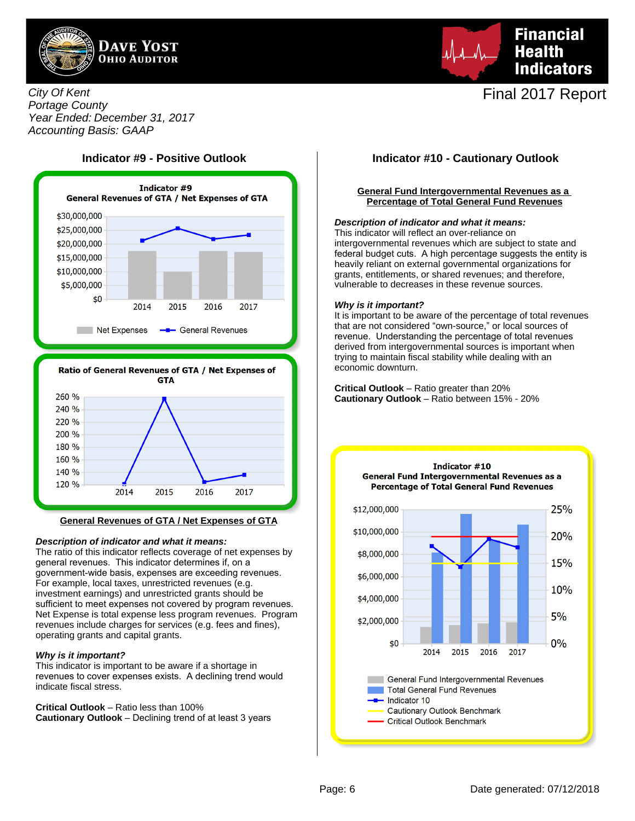![](_page_5_Picture_0.jpeg)

![](_page_5_Picture_1.jpeg)

## City Of Kent Portage County Year Ended: December 31, 2017 Accounting Basis: GAAP

![](_page_5_Figure_3.jpeg)

![](_page_5_Figure_4.jpeg)

#### **General Revenues of GTA / Net Expenses of GTA**

#### **Description of indicator and what it means:**

The ratio of this indicator reflects coverage of net expenses by general revenues. This indicator determines if, on a government-wide basis, expenses are exceeding revenues. For example, local taxes, unrestricted revenues (e.g. investment earnings) and unrestricted grants should be sufficient to meet expenses not covered by program revenues. Net Expense is total expense less program revenues. Program revenues include charges for services (e.g. fees and fines), operating grants and capital grants.

#### **Why is it important?**

This indicator is important to be aware if a shortage in revenues to cover expenses exists. A declining trend would indicate fiscal stress.

**Critical Outlook** – Ratio less than 100% **Cautionary Outlook** – Declining trend of at least 3 years

### **General Fund Intergovernmental Revenues as a Percentage of Total General Fund Revenues**

### **Description of indicator and what it means:**

This indicator will reflect an over-reliance on intergovernmental revenues which are subject to state and federal budget cuts. A high percentage suggests the entity is heavily reliant on external governmental organizations for grants, entitlements, or shared revenues; and therefore, vulnerable to decreases in these revenue sources.

#### **Why is it important?**

It is important to be aware of the percentage of total revenues that are not considered "own-source," or local sources of revenue. Understanding the percentage of total revenues derived from intergovernmental sources is important when trying to maintain fiscal stability while dealing with an economic downturn.

**Critical Outlook** – Ratio greater than 20% **Cautionary Outlook** – Ratio between 15% - 20%

![](_page_5_Figure_18.jpeg)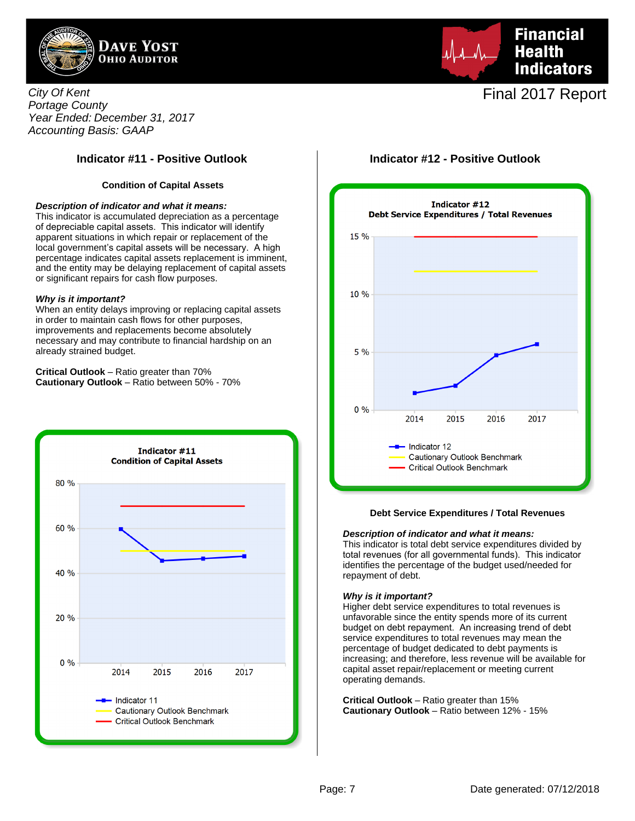![](_page_6_Picture_0.jpeg)

![](_page_6_Picture_1.jpeg)

City Of Kent Portage County Year Ended: December 31, 2017 Accounting Basis: GAAP

## **Indicator #11 - Positive Outlook Indicator #12 - Positive Outlook**

### **Condition of Capital Assets**

#### **Description of indicator and what it means:**

This indicator is accumulated depreciation as a percentage of depreciable capital assets. This indicator will identify apparent situations in which repair or replacement of the local government's capital assets will be necessary. A high percentage indicates capital assets replacement is imminent, and the entity may be delaying replacement of capital assets or significant repairs for cash flow purposes.

#### **Why is it important?**

When an entity delays improving or replacing capital assets in order to maintain cash flows for other purposes, improvements and replacements become absolutely necessary and may contribute to financial hardship on an already strained budget.

**Critical Outlook** – Ratio greater than 70% **Cautionary Outlook** – Ratio between 50% - 70%

![](_page_6_Figure_10.jpeg)

![](_page_6_Figure_12.jpeg)

#### **Debt Service Expenditures / Total Revenues**

#### **Description of indicator and what it means:**

This indicator is total debt service expenditures divided by total revenues (for all governmental funds). This indicator identifies the percentage of the budget used/needed for repayment of debt.

#### **Why is it important?**

Higher debt service expenditures to total revenues is unfavorable since the entity spends more of its current budget on debt repayment. An increasing trend of debt service expenditures to total revenues may mean the percentage of budget dedicated to debt payments is increasing; and therefore, less revenue will be available for capital asset repair/replacement or meeting current operating demands.

**Critical Outlook** – Ratio greater than 15% **Cautionary Outlook** – Ratio between 12% - 15%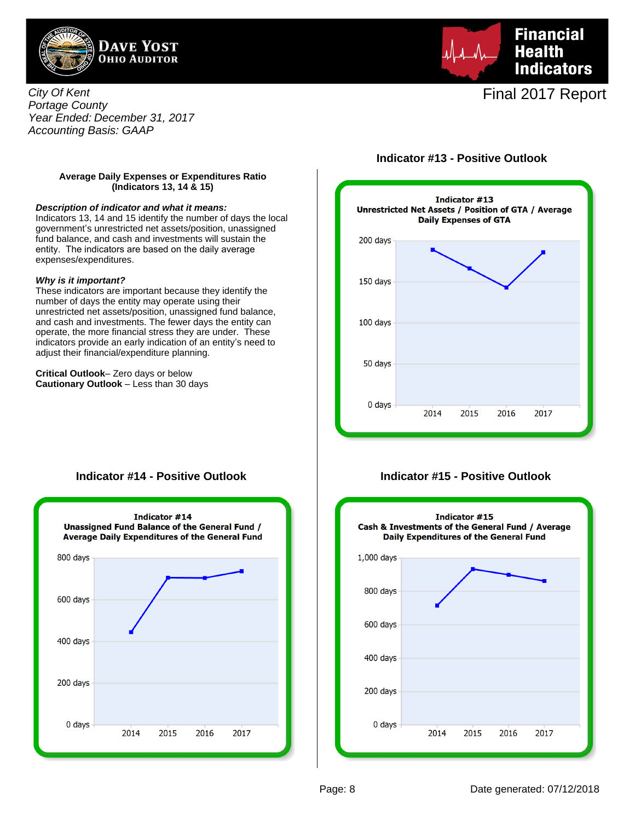![](_page_7_Picture_0.jpeg)

**Financial Health Indicators** 

Final 2017 Report

City Of Kent Portage County Year Ended: December 31, 2017 Accounting Basis: GAAP

## **Indicator #13 - Positive Outlook**

### **Average Daily Expenses or Expenditures Ratio (Indicators 13, 14 & 15)**

#### **Description of indicator and what it means:**

Indicators 13, 14 and 15 identify the number of days the local government's unrestricted net assets/position, unassigned fund balance, and cash and investments will sustain the entity. The indicators are based on the daily average expenses/expenditures.

#### **Why is it important?**

These indicators are important because they identify the number of days the entity may operate using their unrestricted net assets/position, unassigned fund balance, and cash and investments. The fewer days the entity can operate, the more financial stress they are under. These indicators provide an early indication of an entity's need to adjust their financial/expenditure planning.

**Critical Outlook**– Zero days or below **Cautionary Outlook** – Less than 30 days

![](_page_7_Figure_10.jpeg)

## **Indicator #14 - Positive Outlook**

![](_page_7_Figure_12.jpeg)

## **Indicator #15 - Positive Outlook**

![](_page_7_Figure_14.jpeg)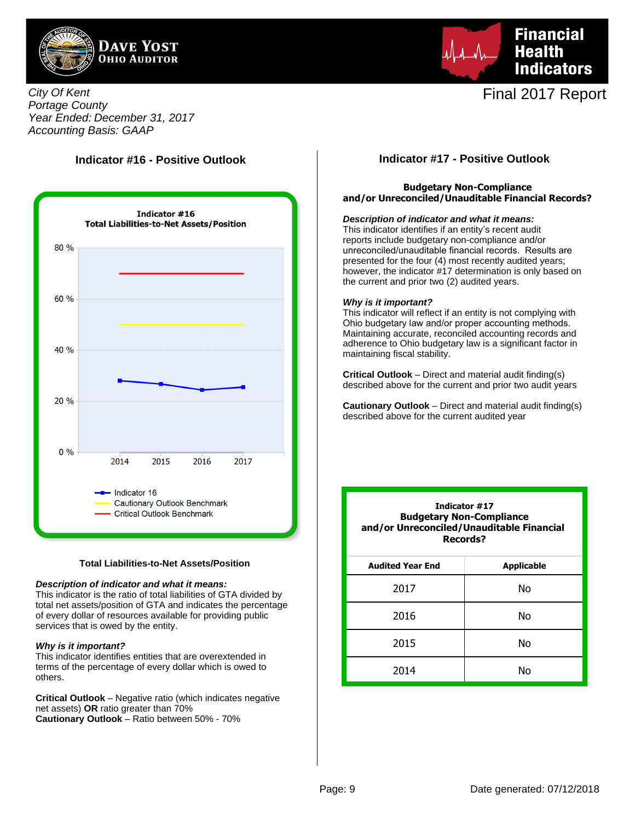![](_page_8_Picture_0.jpeg)

![](_page_8_Picture_1.jpeg)

City Of Kent Portage County Year Ended: December 31, 2017 Accounting Basis: GAAP

## **Indicator #16 - Positive Outlook**

![](_page_8_Figure_5.jpeg)

#### **Total Liabilities-to-Net Assets/Position**

#### **Description of indicator and what it means:**

This indicator is the ratio of total liabilities of GTA divided by total net assets/position of GTA and indicates the percentage of every dollar of resources available for providing public services that is owed by the entity.

#### **Why is it important?**

This indicator identifies entities that are overextended in terms of the percentage of every dollar which is owed to others.

**Critical Outlook** – Negative ratio (which indicates negative net assets) **OR** ratio greater than 70% **Cautionary Outlook** – Ratio between 50% - 70%

## **Indicator #17 - Positive Outlook**

### **Budgetary Non-Compliance and/or Unreconciled/Unauditable Financial Records?**

#### **Description of indicator and what it means:**

This indicator identifies if an entity's recent audit reports include budgetary non-compliance and/or unreconciled/unauditable financial records. Results are presented for the four (4) most recently audited years; however, the indicator #17 determination is only based on the current and prior two (2) audited years.

#### **Why is it important?**

This indicator will reflect if an entity is not complying with Ohio budgetary law and/or proper accounting methods. Maintaining accurate, reconciled accounting records and adherence to Ohio budgetary law is a significant factor in maintaining fiscal stability.

**Critical Outlook** – Direct and material audit finding(s) described above for the current and prior two audit years

**Cautionary Outlook** – Direct and material audit finding(s) described above for the current audited year

| Indicator #17<br><b>Budgetary Non-Compliance</b><br>and/or Unreconciled/Unauditable Financial<br>Records? |                   |  |  |  |  |  |  |
|-----------------------------------------------------------------------------------------------------------|-------------------|--|--|--|--|--|--|
| <b>Audited Year End</b>                                                                                   | <b>Applicable</b> |  |  |  |  |  |  |
| 2017                                                                                                      | No                |  |  |  |  |  |  |
| 2016                                                                                                      | Nο                |  |  |  |  |  |  |
| 2015                                                                                                      | Nο                |  |  |  |  |  |  |
| 2014                                                                                                      | N٥                |  |  |  |  |  |  |